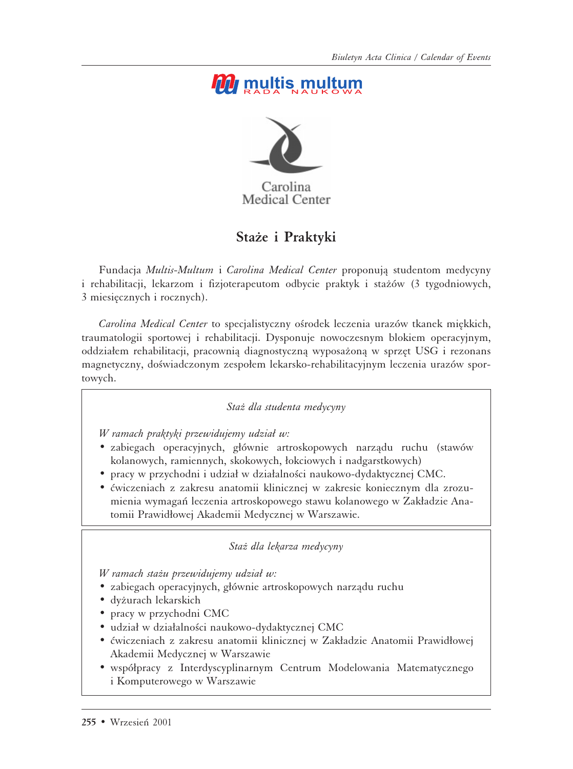# *M* multis multum



Medical Center

### Staże i Praktyki

Fundacja *Multis-Multum* i *Carolina Medical Center* proponujå studentom medycyny i rehabilitacji, lekarzom i fizjoterapeutom odbycie praktyk i stażów (3 tygodniowych, 3 miesiæcznych i rocznych).

*Carolina Medical Center* to specjalistyczny ośrodek leczenia urazów tkanek miękkich, traumatologii sportowej i rehabilitacji. Dysponuje nowoczesnym blokiem operacyjnym, oddziałem rehabilitacji, pracownią diagnostyczną wyposażoną w sprzęt USG i rezonans magnetyczny, doświadczonym zespołem lekarsko-rehabilitacyjnym leczenia urazów sportowych.

#### Staż dla studenta medycyny

*W ramach praktyki przewidujemy udział w:* 

- zabiegach operacyjnych, głównie artroskopowych narządu ruchu (stawów kolanowych, ramiennych, skokowych, łokciowych i nadgarstkowych)
- pracy w przychodni i udział w działalności naukowo-dydaktycznej CMC.
- ćwiczeniach z zakresu anatomii klinicznej w zakresie koniecznym dla zrozumienia wymagań leczenia artroskopowego stawu kolanowego w Zakładzie Anatomii Prawidłowej Akademii Medycznej w Warszawie.

*Staº dla lekarza medycyny*

*W ramach stażu przewidujemy udział w:* 

- zabiegach operacyjnych, głównie artroskopowych narządu ruchu
- dyżurach lekarskich
- pracy w przychodni CMC
- udział w działalności naukowo-dydaktycznej CMC
- ćwiczeniach z zakresu anatomii klinicznej w Zakładzie Anatomii Prawidłowej Akademii Medycznej w Warszawie
- współpracy z Interdyscyplinarnym Centrum Modelowania Matematycznego i Komputerowego w Warszawie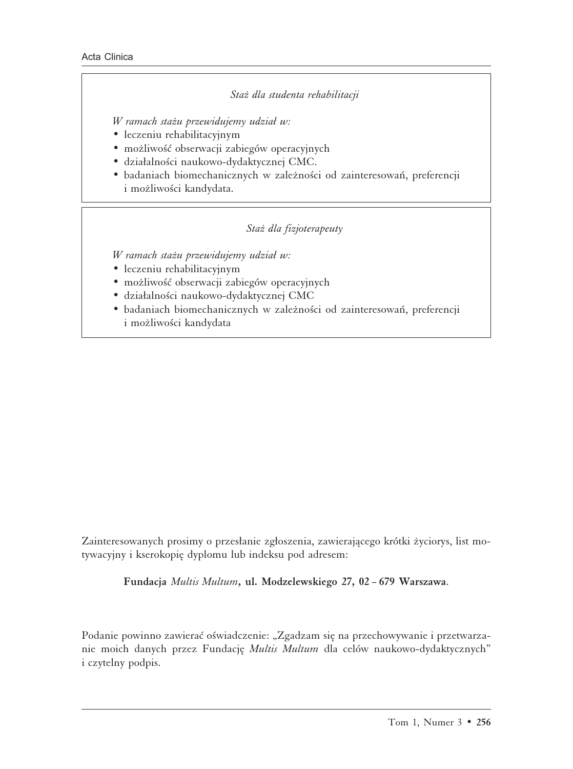#### Staż dla studenta rehabilitacji

*W ramach stażu przewidujemy udział w:* 

- leczeniu rehabilitacyjnym
- możliwość obserwacji zabiegów operacyjnych
- działalności naukowo-dydaktycznej CMC.
- badaniach biomechanicznych w zależności od zainteresowań, preferencji i możliwości kandydata.

#### Staż dla fizjoterapeuty

*W ramach stażu przewidujemy udział w:* 

- leczeniu rehabilitacyjnym
- możliwość obserwacji zabiegów operacyjnych
- działalności naukowo-dydaktycznej CMC
- badaniach biomechanicznych w zależności od zainteresowań, preferencji i możliwości kandydata

Zainteresowanych prosimy o przesłanie zgłoszenia, zawierającego krótki życiorys, list motywacyjny i kserokopiæ dyplomu lub indeksu pod adresem:

**Fundacja** *Multis Multum***, ul. Modzelewskiego 27, 02 – 679 Warszawa**.

Podanie powinno zawierać oświadczenie: "Zgadzam się na przechowywanie i przetwarzanie moich danych przez Fundacjæ *Multis Multum* dla celów naukowo-dydaktycznych" i czytelny podpis.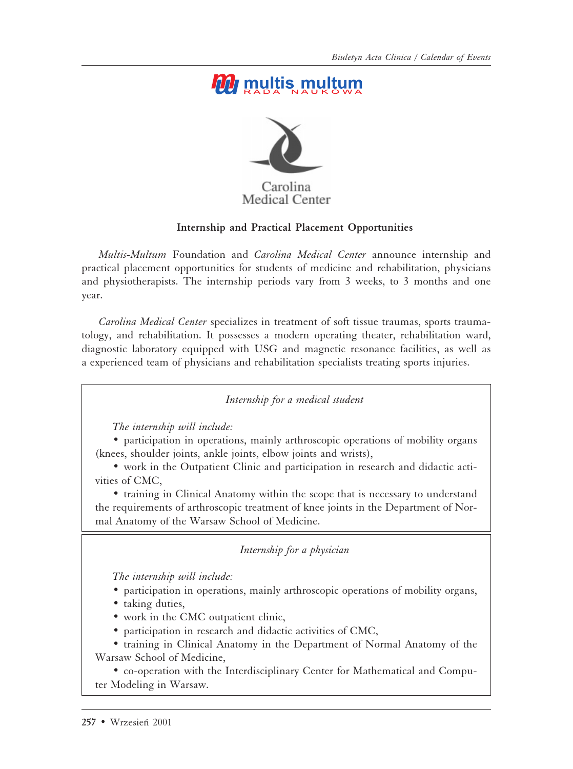# *M* multis multum



### **Medical Center**

#### **Internship and Practical Placement Opportunities**

*Multis-Multum* Foundation and *Carolina Medical Center* announce internship and practical placement opportunities for students of medicine and rehabilitation, physicians and physiotherapists. The internship periods vary from 3 weeks, to 3 months and one year.

*Carolina Medical Center* specializes in treatment of soft tissue traumas, sports traumatology, and rehabilitation. It possesses a modern operating theater, rehabilitation ward, diagnostic laboratory equipped with USG and magnetic resonance facilities, as well as a experienced team of physicians and rehabilitation specialists treating sports injuries.

*Internship for a medical student*

*The internship will include:*

• participation in operations, mainly arthroscopic operations of mobility organs (knees, shoulder joints, ankle joints, elbow joints and wrists),

• work in the Outpatient Clinic and participation in research and didactic activities of CMC,

• training in Clinical Anatomy within the scope that is necessary to understand the requirements of arthroscopic treatment of knee joints in the Department of Normal Anatomy of the Warsaw School of Medicine.

*Internship for a physician*

*The internship will include:*

- participation in operations, mainly arthroscopic operations of mobility organs,
- taking duties,
- work in the CMC outpatient clinic,
- participation in research and didactic activities of CMC,

• training in Clinical Anatomy in the Department of Normal Anatomy of the Warsaw School of Medicine,

• co-operation with the Interdisciplinary Center for Mathematical and Computer Modeling in Warsaw.